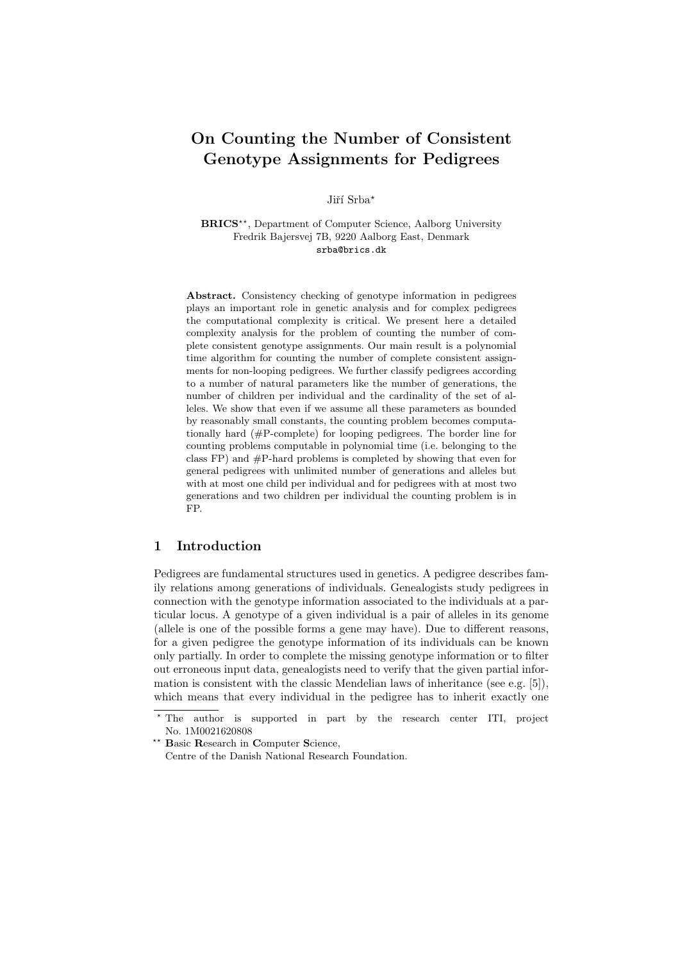# On Counting the Number of Consistent Genotype Assignments for Pedigrees

Jiří Srba\*

BRICS??, Department of Computer Science, Aalborg University Fredrik Bajersvej 7B, 9220 Aalborg East, Denmark srba@brics.dk

Abstract. Consistency checking of genotype information in pedigrees plays an important role in genetic analysis and for complex pedigrees the computational complexity is critical. We present here a detailed complexity analysis for the problem of counting the number of complete consistent genotype assignments. Our main result is a polynomial time algorithm for counting the number of complete consistent assignments for non-looping pedigrees. We further classify pedigrees according to a number of natural parameters like the number of generations, the number of children per individual and the cardinality of the set of alleles. We show that even if we assume all these parameters as bounded by reasonably small constants, the counting problem becomes computationally hard (#P-complete) for looping pedigrees. The border line for counting problems computable in polynomial time (i.e. belonging to the class  $FP$ ) and  $\#P$ -hard problems is completed by showing that even for general pedigrees with unlimited number of generations and alleles but with at most one child per individual and for pedigrees with at most two generations and two children per individual the counting problem is in FP.

# 1 Introduction

Pedigrees are fundamental structures used in genetics. A pedigree describes family relations among generations of individuals. Genealogists study pedigrees in connection with the genotype information associated to the individuals at a particular locus. A genotype of a given individual is a pair of alleles in its genome (allele is one of the possible forms a gene may have). Due to different reasons, for a given pedigree the genotype information of its individuals can be known only partially. In order to complete the missing genotype information or to filter out erroneous input data, genealogists need to verify that the given partial information is consistent with the classic Mendelian laws of inheritance (see e.g. [5]), which means that every individual in the pedigree has to inherit exactly one

<sup>?</sup> The author is supported in part by the research center ITI, project No. 1M0021620808

<sup>\*\*</sup> Basic Research in Computer Science,

Centre of the Danish National Research Foundation.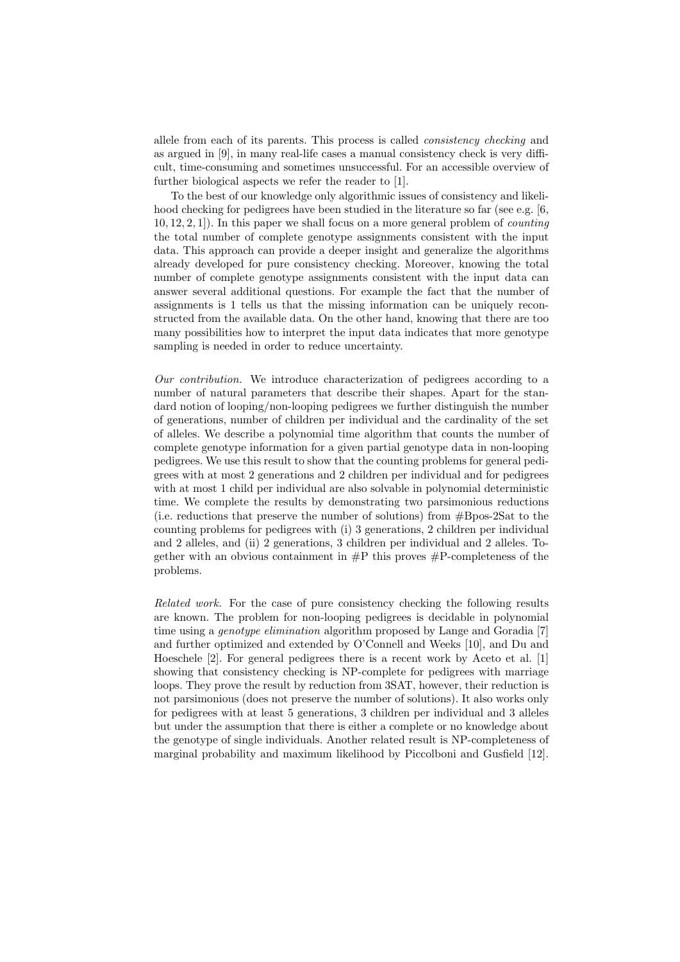allele from each of its parents. This process is called consistency checking and as argued in [9], in many real-life cases a manual consistency check is very difficult, time-consuming and sometimes unsuccessful. For an accessible overview of further biological aspects we refer the reader to [1].

To the best of our knowledge only algorithmic issues of consistency and likelihood checking for pedigrees have been studied in the literature so far (see e.g. [6,  $(10, 12, 2, 1)$ . In this paper we shall focus on a more general problem of *counting* the total number of complete genotype assignments consistent with the input data. This approach can provide a deeper insight and generalize the algorithms already developed for pure consistency checking. Moreover, knowing the total number of complete genotype assignments consistent with the input data can answer several additional questions. For example the fact that the number of assignments is 1 tells us that the missing information can be uniquely reconstructed from the available data. On the other hand, knowing that there are too many possibilities how to interpret the input data indicates that more genotype sampling is needed in order to reduce uncertainty.

Our contribution. We introduce characterization of pedigrees according to a number of natural parameters that describe their shapes. Apart for the standard notion of looping/non-looping pedigrees we further distinguish the number of generations, number of children per individual and the cardinality of the set of alleles. We describe a polynomial time algorithm that counts the number of complete genotype information for a given partial genotype data in non-looping pedigrees. We use this result to show that the counting problems for general pedigrees with at most 2 generations and 2 children per individual and for pedigrees with at most 1 child per individual are also solvable in polynomial deterministic time. We complete the results by demonstrating two parsimonious reductions (i.e. reductions that preserve the number of solutions) from #Bpos-2Sat to the counting problems for pedigrees with (i) 3 generations, 2 children per individual and 2 alleles, and (ii) 2 generations, 3 children per individual and 2 alleles. Together with an obvious containment in  $\#P$  this proves  $\#P$ -completeness of the problems.

Related work. For the case of pure consistency checking the following results are known. The problem for non-looping pedigrees is decidable in polynomial time using a *genotype elimination* algorithm proposed by Lange and Goradia [7] and further optimized and extended by O'Connell and Weeks [10], and Du and Hoeschele [2]. For general pedigrees there is a recent work by Aceto et al. [1] showing that consistency checking is NP-complete for pedigrees with marriage loops. They prove the result by reduction from 3SAT, however, their reduction is not parsimonious (does not preserve the number of solutions). It also works only for pedigrees with at least 5 generations, 3 children per individual and 3 alleles but under the assumption that there is either a complete or no knowledge about the genotype of single individuals. Another related result is NP-completeness of marginal probability and maximum likelihood by Piccolboni and Gusfield [12].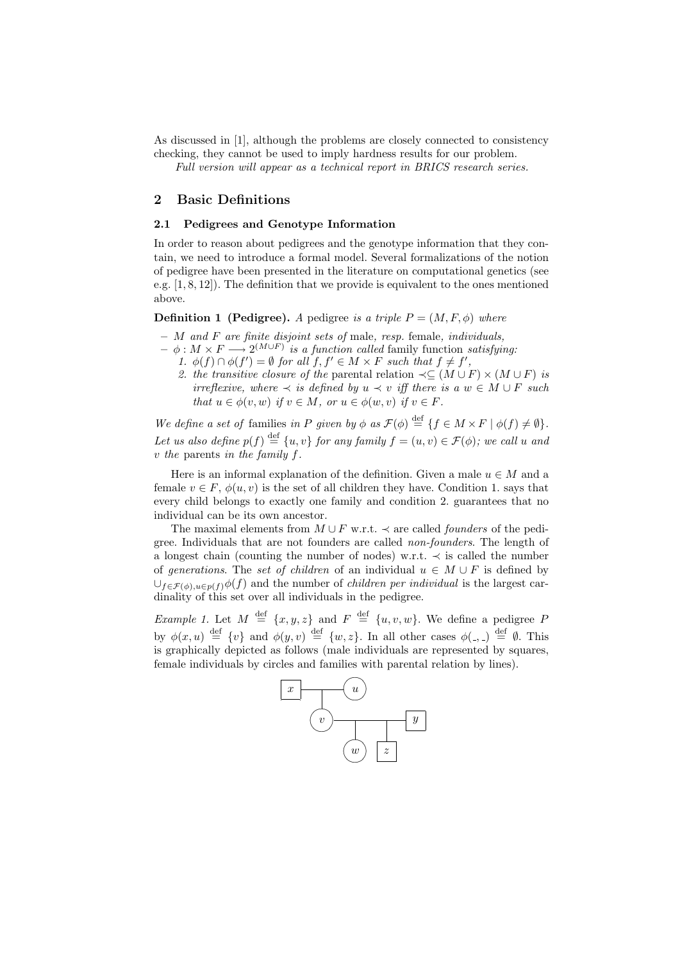As discussed in [1], although the problems are closely connected to consistency checking, they cannot be used to imply hardness results for our problem. Full version will appear as a technical report in BRICS research series.

# 2 Basic Definitions

### 2.1 Pedigrees and Genotype Information

In order to reason about pedigrees and the genotype information that they contain, we need to introduce a formal model. Several formalizations of the notion of pedigree have been presented in the literature on computational genetics (see e.g. [1, 8, 12]). The definition that we provide is equivalent to the ones mentioned above.

**Definition 1 (Pedigree).** A pedigree is a triple  $P = (M, F, \phi)$  where

- $M$  and F are finite disjoint sets of male, resp. female, individuals,
- $\phi : M \times F \longrightarrow 2^{(M \cup F)}$  is a function called family function satisfying.
	- 1.  $\phi(f) \cap \phi(f') = \emptyset$  for all  $f, f' \in M \times F$  such that  $f \neq f'$ ,
	- 2. the transitive closure of the parental relation  $\prec \subseteq (M \cup F) \times (M \cup F)$  is irreflexive, where  $\prec$  is defined by  $u \prec v$  iff there is a  $w \in M \cup F$  such that  $u \in \phi(v, w)$  if  $v \in M$ , or  $u \in \phi(w, v)$  if  $v \in F$ .

We define a set of families in P given by  $\phi$  as  $\mathcal{F}(\phi) \stackrel{\text{def}}{=} \{f \in M \times F \mid \phi(f) \neq \emptyset\}.$ Let us also define  $p(f) \stackrel{\text{def}}{=} \{u, v\}$  for any family  $f = (u, v) \in \mathcal{F}(\phi)$ ; we call u and  $v$  the parents in the family  $f$ .

Here is an informal explanation of the definition. Given a male  $u \in M$  and a female  $v \in F$ ,  $\phi(u, v)$  is the set of all children they have. Condition 1. says that every child belongs to exactly one family and condition 2. guarantees that no individual can be its own ancestor.

The maximal elements from  $M \cup F$  w.r.t.  $\prec$  are called *founders* of the pedigree. Individuals that are not founders are called non-founders. The length of a longest chain (counting the number of nodes) w.r.t.  $\prec$  is called the number of generations. The set of children of an individual  $u \in M \cup F$  is defined by  $\cup_{f \in \mathcal{F}(\phi), u \in p(f)} \phi(f)$  and the number of *children per individual* is the largest cardinality of this set over all individuals in the pedigree.

*Example 1.* Let  $M \stackrel{\text{def}}{=} \{x, y, z\}$  and  $F \stackrel{\text{def}}{=} \{u, v, w\}$ . We define a pedigree F by  $\phi(x, u) \stackrel{\text{def}}{=} \{v\}$  and  $\phi(y, v) \stackrel{\text{def}}{=} \{w, z\}$ . In all other cases  $\phi(\overline{z}, \overline{z}) \stackrel{\text{def}}{=} \emptyset$ . This is graphically depicted as follows (male individuals are represented by squares, female individuals by circles and families with parental relation by lines).

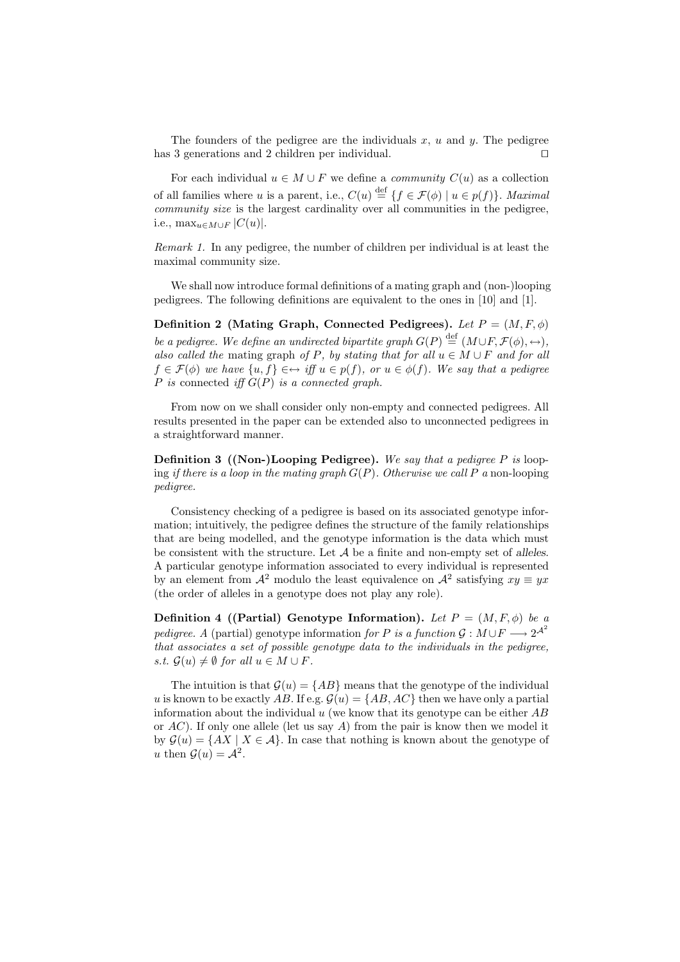The founders of the pedigree are the individuals  $x, u$  and  $y$ . The pedigree has 3 generations and 2 children per individual.  $\Box$ 

For each individual  $u \in M \cup F$  we define a *community*  $C(u)$  as a collection of all families where u is a parent, i.e.,  $C(u) \stackrel{\text{def}}{=} \{f \in \mathcal{F}(\phi) \mid u \in p(f)\}\$ . Maximal community size is the largest cardinality over all communities in the pedigree, i.e.,  $\max_{u \in M \cup F} |C(u)|$ .

Remark 1. In any pedigree, the number of children per individual is at least the maximal community size.

We shall now introduce formal definitions of a mating graph and (non-)looping pedigrees. The following definitions are equivalent to the ones in [10] and [1].

Definition 2 (Mating Graph, Connected Pedigrees). Let  $P = (M, F, \phi)$ be a pedigree. We define an undirected bipartite graph  $G(P) \stackrel{\text{def}}{=} (M \cup F, \mathcal{F}(\phi), \leftrightarrow)$ , also called the mating graph of P, by stating that for all  $u \in M \cup F$  and for all  $f \in \mathcal{F}(\phi)$  we have  $\{u, f\} \in \leftrightarrow \text{ iff } u \in p(f)$ , or  $u \in \phi(f)$ . We say that a pedigree P is connected iff  $G(P)$  is a connected graph.

From now on we shall consider only non-empty and connected pedigrees. All results presented in the paper can be extended also to unconnected pedigrees in a straightforward manner.

**Definition 3** ((Non-)Looping Pedigree). We say that a pedigree  $P$  is looping if there is a loop in the mating graph  $G(P)$ . Otherwise we call P a non-looping pedigree.

Consistency checking of a pedigree is based on its associated genotype information; intuitively, the pedigree defines the structure of the family relationships that are being modelled, and the genotype information is the data which must be consistent with the structure. Let  $A$  be a finite and non-empty set of alleles. A particular genotype information associated to every individual is represented by an element from  $\mathcal{A}^2$  modulo the least equivalence on  $\mathcal{A}^2$  satisfying  $xy \equiv yx$ (the order of alleles in a genotype does not play any role).

Definition 4 ((Partial) Genotype Information). Let  $P = (M, F, \phi)$  be a pedigree. A (partial) genotype information for P is a function  $\mathcal{G}: M \cup F \longrightarrow 2^{\mathcal{A}^2}$ that associates a set of possible genotype data to the individuals in the pedigree, s.t.  $\mathcal{G}(u) \neq \emptyset$  for all  $u \in M \cup F$ .

The intuition is that  $\mathcal{G}(u) = \{AB\}$  means that the genotype of the individual u is known to be exactly AB. If e.g.  $\mathcal{G}(u) = \{AB, AC\}$  then we have only a partial information about the individual  $u$  (we know that its genotype can be either  $AB$ or  $AC$ ). If only one allele (let us say A) from the pair is know then we model it by  $\mathcal{G}(u) = \{AX \mid X \in \mathcal{A}\}\.$  In case that nothing is known about the genotype of u then  $\mathcal{G}(u) = \mathcal{A}^2$ .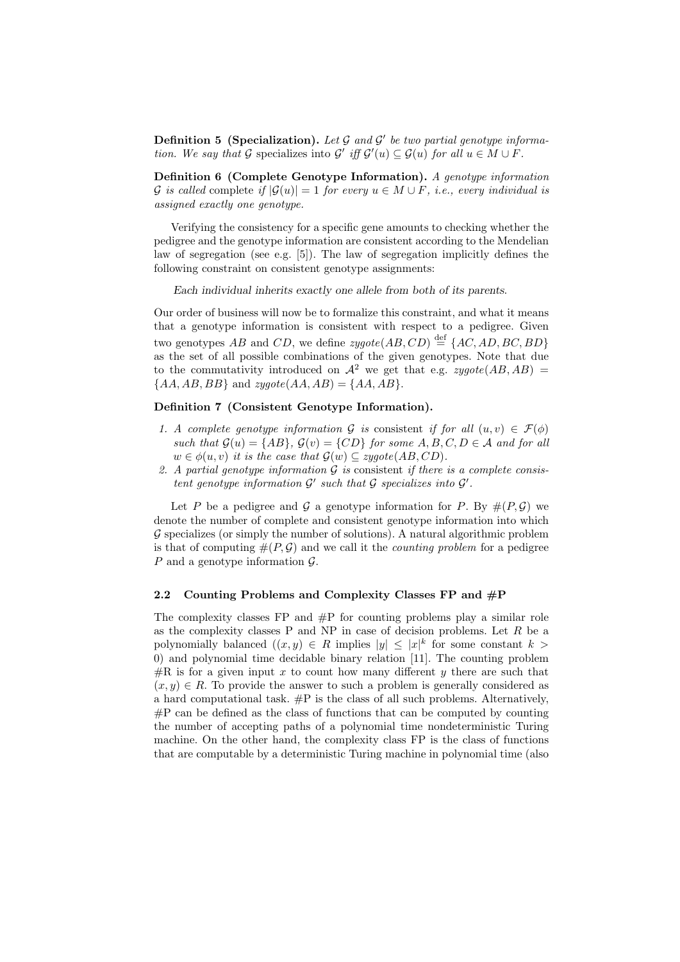**Definition 5 (Specialization).** Let  $\mathcal G$  and  $\mathcal G'$  be two partial genotype information. We say that G specializes into  $\mathcal{G}'$  iff  $\mathcal{G}'(u) \subseteq \mathcal{G}(u)$  for all  $u \in M \cup F$ .

Definition 6 (Complete Genotype Information). A genotype information G is called complete if  $|\mathcal{G}(u)| = 1$  for every  $u \in M \cup F$ , i.e., every individual is assigned exactly one genotype.

Verifying the consistency for a specific gene amounts to checking whether the pedigree and the genotype information are consistent according to the Mendelian law of segregation (see e.g. [5]). The law of segregation implicitly defines the following constraint on consistent genotype assignments:

Each individual inherits exactly one allele from both of its parents.

Our order of business will now be to formalize this constraint, and what it means that a genotype information is consistent with respect to a pedigree. Given two genotypes AB and CD, we define  $xygote(AB, CD) \stackrel{\text{def}}{=} \{AC, AD, BC, BD\}$ as the set of all possible combinations of the given genotypes. Note that due to the commutativity introduced on  $\mathcal{A}^2$  we get that e.g. zygote(AB, AB) =  ${AA, AB, BB}$  and  $zyqote(AA, AB) = {AA, AB}$ .

### Definition 7 (Consistent Genotype Information).

- 1. A complete genotype information G is consistent if for all  $(u, v) \in \mathcal{F}(\phi)$ such that  $\mathcal{G}(u) = \{AB\}, \ \mathcal{G}(v) = \{CD\}$  for some  $A, B, C, D \in \mathcal{A}$  and for all  $w \in \phi(u, v)$  it is the case that  $\mathcal{G}(w) \subseteq zygote(AB, CD)$ .
- 2. A partial genotype information  $G$  is consistent if there is a complete consistent genotype information  $\mathcal{G}'$  such that  $\mathcal G$  specializes into  $\mathcal G'$ .

Let P be a pedigree and G a genotype information for P. By  $\#(P, \mathcal{G})$  we denote the number of complete and consistent genotype information into which  $\mathcal G$  specializes (or simply the number of solutions). A natural algorithmic problem is that of computing  $\#(P, \mathcal{G})$  and we call it the *counting problem* for a pedigree P and a genotype information  $\mathcal{G}$ .

#### 2.2 Counting Problems and Complexity Classes FP and  $\#P$

The complexity classes  $FP$  and  $\#P$  for counting problems play a similar role as the complexity classes  $P$  and  $NP$  in case of decision problems. Let  $R$  be a polynomially balanced  $((x, y) \in R$  implies  $|y| \leq |x|^k$  for some constant  $k >$ 0) and polynomial time decidable binary relation [11]. The counting problem  $\#R$  is for a given input x to count how many different y there are such that  $(x, y) \in R$ . To provide the answer to such a problem is generally considered as a hard computational task.  $\#P$  is the class of all such problems. Alternatively,  $\#P$  can be defined as the class of functions that can be computed by counting the number of accepting paths of a polynomial time nondeterministic Turing machine. On the other hand, the complexity class FP is the class of functions that are computable by a deterministic Turing machine in polynomial time (also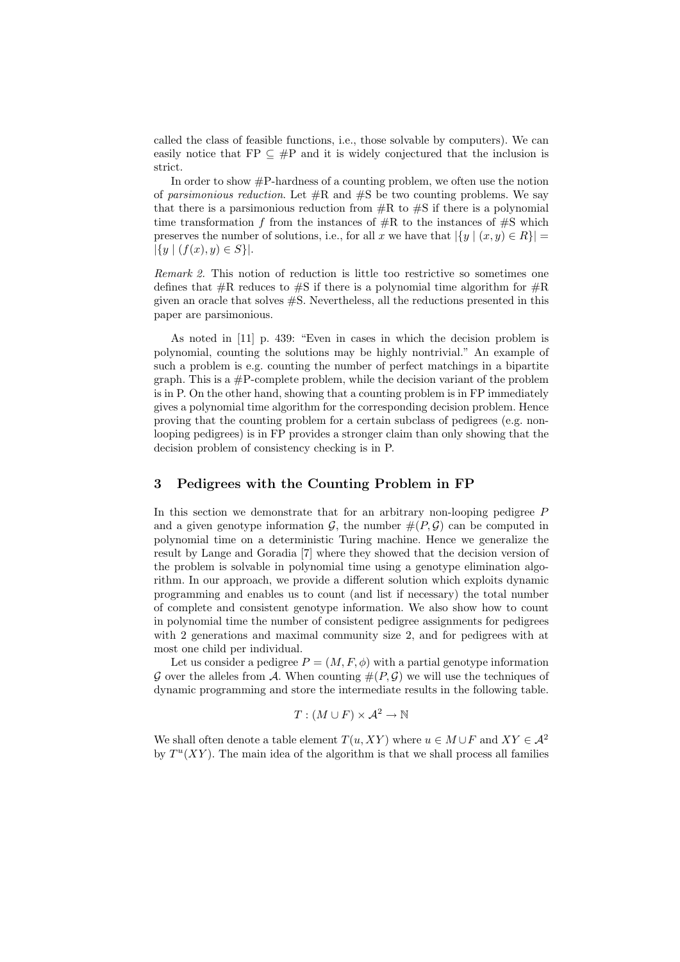called the class of feasible functions, i.e., those solvable by computers). We can easily notice that FP  $\subseteq$  #P and it is widely conjectured that the inclusion is strict.

In order to show #P-hardness of a counting problem, we often use the notion of parsimonious reduction. Let  $\#\text{R}$  and  $\#\text{S}$  be two counting problems. We say that there is a parsimonious reduction from  $\#R$  to  $\#S$  if there is a polynomial time transformation f from the instances of  $#R$  to the instances of  $#S$  which preserves the number of solutions, i.e., for all x we have that  $|\{y \mid (x, y) \in R\}|$  $|\{y \mid (f(x), y) \in S\}|.$ 

Remark 2. This notion of reduction is little too restrictive so sometimes one defines that  $\#R$  reduces to  $\#S$  if there is a polynomial time algorithm for  $\#R$ given an oracle that solves #S. Nevertheless, all the reductions presented in this paper are parsimonious.

As noted in [11] p. 439: "Even in cases in which the decision problem is polynomial, counting the solutions may be highly nontrivial." An example of such a problem is e.g. counting the number of perfect matchings in a bipartite graph. This is a  $\#P$ -complete problem, while the decision variant of the problem is in P. On the other hand, showing that a counting problem is in FP immediately gives a polynomial time algorithm for the corresponding decision problem. Hence proving that the counting problem for a certain subclass of pedigrees (e.g. nonlooping pedigrees) is in FP provides a stronger claim than only showing that the decision problem of consistency checking is in P.

# 3 Pedigrees with the Counting Problem in FP

In this section we demonstrate that for an arbitrary non-looping pedigree P and a given genotype information G, the number  $\#(P, \mathcal{G})$  can be computed in polynomial time on a deterministic Turing machine. Hence we generalize the result by Lange and Goradia [7] where they showed that the decision version of the problem is solvable in polynomial time using a genotype elimination algorithm. In our approach, we provide a different solution which exploits dynamic programming and enables us to count (and list if necessary) the total number of complete and consistent genotype information. We also show how to count in polynomial time the number of consistent pedigree assignments for pedigrees with 2 generations and maximal community size 2, and for pedigrees with at most one child per individual.

Let us consider a pedigree  $P = (M, F, \phi)$  with a partial genotype information G over the alleles from A. When counting  $\#(P,\mathcal{G})$  we will use the techniques of dynamic programming and store the intermediate results in the following table.

$$
T: (M \cup F) \times \mathcal{A}^2 \to \mathbb{N}
$$

We shall often denote a table element  $T(u, XY)$  where  $u \in M \cup F$  and  $XY \in \mathcal{A}^2$ by  $T^u(XY)$ . The main idea of the algorithm is that we shall process all families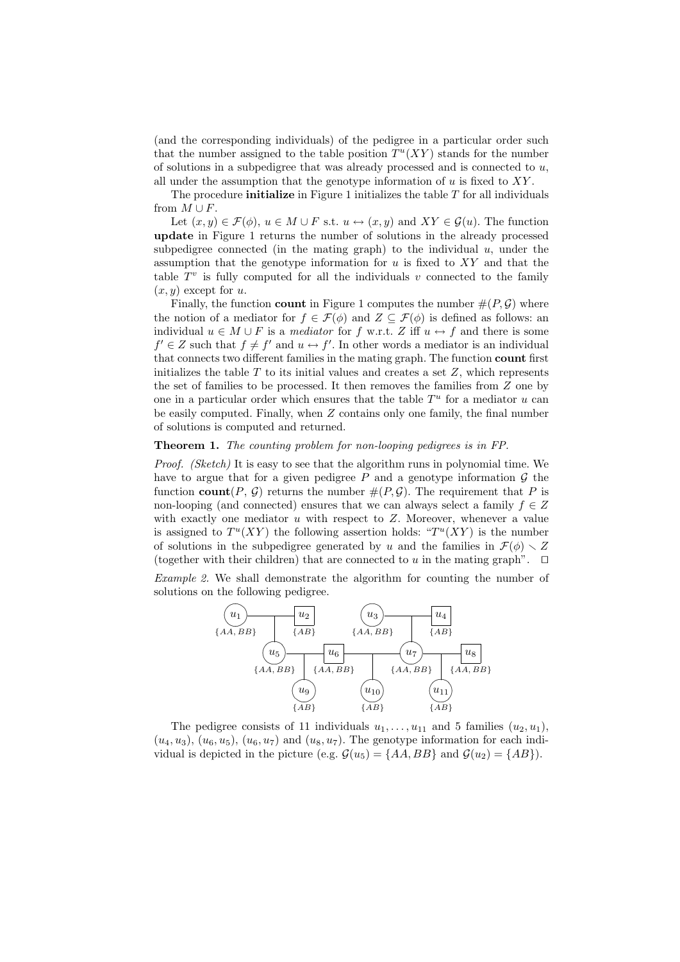(and the corresponding individuals) of the pedigree in a particular order such that the number assigned to the table position  $T^u(XY)$  stands for the number of solutions in a subpedigree that was already processed and is connected to  $u$ , all under the assumption that the genotype information of  $u$  is fixed to  $XY$ .

The procedure **initialize** in Figure 1 initializes the table  $T$  for all individuals from  $M \cup F$ .

Let  $(x, y) \in \mathcal{F}(\phi)$ ,  $u \in M \cup F$  s.t.  $u \leftrightarrow (x, y)$  and  $XY \in \mathcal{G}(u)$ . The function update in Figure 1 returns the number of solutions in the already processed subpedigree connected (in the mating graph) to the individual  $u$ , under the assumption that the genotype information for  $u$  is fixed to  $XY$  and that the table  $T^v$  is fully computed for all the individuals v connected to the family  $(x, y)$  except for u.

Finally, the function **count** in Figure 1 computes the number  $\#(P, \mathcal{G})$  where the notion of a mediator for  $f \in \mathcal{F}(\phi)$  and  $Z \subseteq \mathcal{F}(\phi)$  is defined as follows: an individual  $u \in M \cup F$  is a mediator for f w.r.t. Z iff  $u \leftrightarrow f$  and there is some  $f' \in \mathbb{Z}$  such that  $f \neq f'$  and  $u \leftrightarrow f'$ . In other words a mediator is an individual that connects two different families in the mating graph. The function count first initializes the table  $T$  to its initial values and creates a set  $Z$ , which represents the set of families to be processed. It then removes the families from Z one by one in a particular order which ensures that the table  $T^u$  for a mediator u can be easily computed. Finally, when Z contains only one family, the final number of solutions is computed and returned.

#### Theorem 1. The counting problem for non-looping pedigrees is in FP.

Proof. (Sketch) It is easy to see that the algorithm runs in polynomial time. We have to argue that for a given pedigree  $P$  and a genotype information  $\mathcal G$  the function count  $(P, \mathcal{G})$  returns the number  $\#(P, \mathcal{G})$ . The requirement that P is non-looping (and connected) ensures that we can always select a family  $f \in Z$ with exactly one mediator  $u$  with respect to  $Z$ . Moreover, whenever a value is assigned to  $T^u(XY)$  the following assertion holds: " $T^u(XY)$  is the number of solutions in the subpedigree generated by u and the families in  $\mathcal{F}(\phi) \setminus Z$ (together with their children) that are connected to u in the mating graph".  $\Box$ 

Example 2. We shall demonstrate the algorithm for counting the number of solutions on the following pedigree.



The pedigree consists of 11 individuals  $u_1, \ldots, u_{11}$  and 5 families  $(u_2, u_1)$ ,  $(u_4, u_3)$ ,  $(u_6, u_5)$ ,  $(u_6, u_7)$  and  $(u_8, u_7)$ . The genotype information for each individual is depicted in the picture (e.g.  $\mathcal{G}(u_5) = \{AA, BB\}$  and  $\mathcal{G}(u_2) = \{AB\}$ ).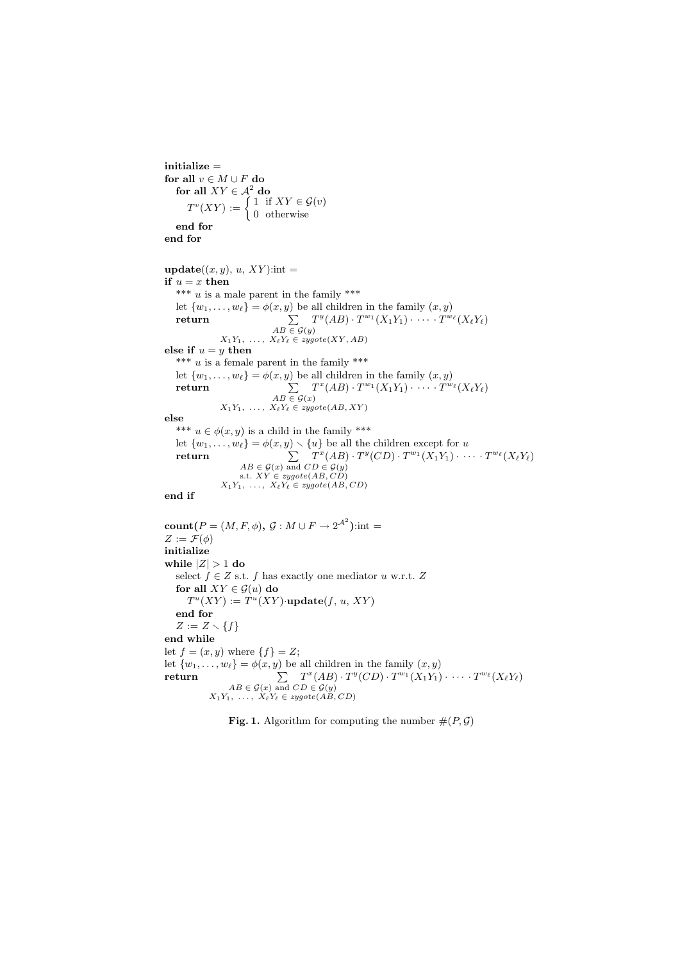initialize = for all  $v \in M \cup F$  do for all  $XY\in\mathcal{A}^{2}$  do  $T^v(XY) := \begin{cases} 1 & \text{if } XY \in \mathcal{G}(v) \\ 0 & \text{otherwise.} \end{cases}$ 0 otherwise end for end for  $update((x, y), u, XY)$ :int = if  $u = x$  then \*\*\*  $u$  is a male parent in the family \*\*\* let  $\{w_1, \ldots, w_\ell\} = \phi(x, y)$  be all children in the family  $(x, y)$  $return$  $AB \in \mathcal{G}(y)$  $X_1Y_1, \ldots, X_\ell Y_\ell \in \mathit{xygote}(XY, AB)$  $T^y(AB)\cdot T^{w_1}(X_1Y_1)\cdot \cdot \cdot \cdot T^{w_{\ell}}(X_{\ell}Y_{\ell})$ else if  $u = y$  then \*\*\*  $u$  is a female parent in the family \*\*\* let  $\{w_1, \ldots, w_\ell\} = \phi(x, y)$  be all children in the family  $(x, y)$  ${\bf return} \hspace{2.5cm} \sum$  $AB \in \mathcal{G}(x)$  $X_1Y_1, \ldots, X_\ell Y_\ell \in zygote(AB, XY)$  $T^x(AB)\cdot T^{w_1}(X_1Y_1)\cdot \cdot \cdot \cdot T^{w_{\ell}}(X_{\ell}Y_{\ell})$ else \*\*\*  $u \in \phi(x, y)$  is a child in the family \*\*\* let  $\{w_1, \ldots, w_\ell\} = \phi(x, y) \setminus \{u\}$  be all the children except for u return  $\sum$  $AB \in \mathcal{G}(x)$  and  $CD \in \mathcal{G}(y)$ s.t.  $XY \in zygote(AB, CD)$ <br>  $X_1Y_1, \ldots, X_\ell Y_\ell \in zygote(AB, CD)$  $T^x(AB)\cdot T^y(CD)\cdot T^{w_1}(X_1Y_1)\cdot\,\cdots\,\cdot T^{w_\ell}(X_\ell Y_\ell)$ end if  $\text{count}(P = (M, F, \phi), \mathcal{G} : M \cup F \rightarrow 2^{\mathcal{A}^2}) : \text{int} =$  $Z := \mathcal{F}(\phi)$ initialize while  $|Z| > 1$  do select  $f \in Z$  s.t. f has exactly one mediator u w.r.t. Z for all  $XY \in \mathcal{G}(u)$  do  $T^u(XY) := T^u(XY) \cdot \text{update}(f, u, XY)$ end for

 $Z := Z \setminus \{f\}$ end while let  $f = (x, y)$  where  $\{f\} = Z;$ let  $\{w_1, \ldots, w_\ell\} = \phi(x, y)$  be all children in the family  $(x, y)$  $\rm _{return}$   $\qquad \qquad \sum$  $AB \in \mathcal{G}(x)$  and  $CD \in \mathcal{G}(y)$ <br> $X_1Y_1, \ldots, X_\ell Y_\ell \in zygote(AB, CD)$  $T^x(AB)\cdot T^y(CD)\cdot T^{w_1}(X_1Y_1)\cdot\,\cdots\,\cdot T^{w_\ell}(X_\ell Y_\ell)$ 

Fig. 1. Algorithm for computing the number  $#(P, \mathcal{G})$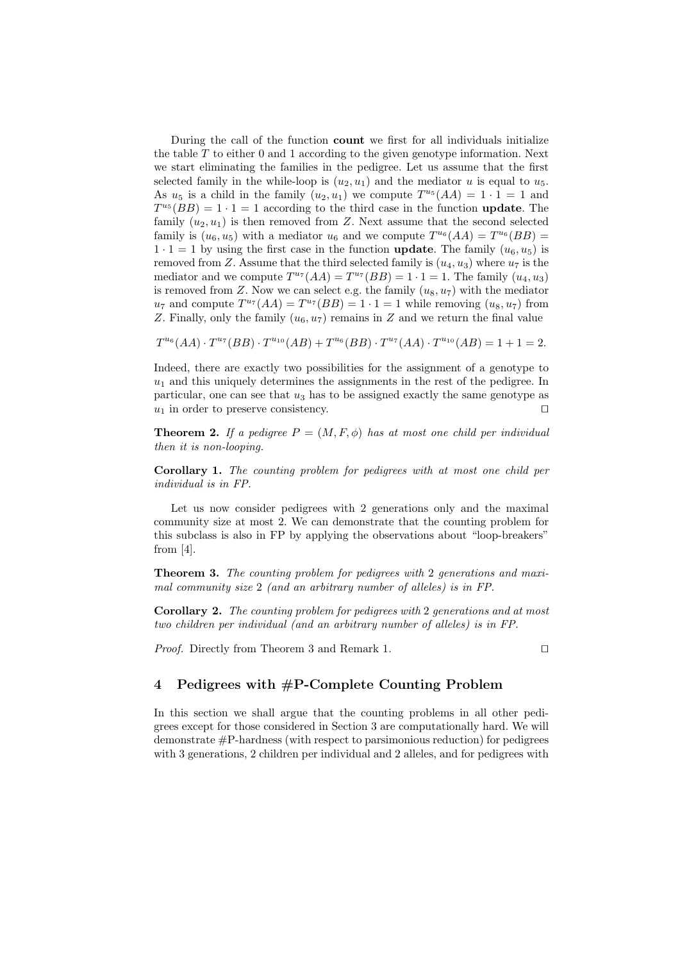During the call of the function count we first for all individuals initialize the table  $T$  to either 0 and 1 according to the given genotype information. Next we start eliminating the families in the pedigree. Let us assume that the first selected family in the while-loop is  $(u_2, u_1)$  and the mediator u is equal to  $u_5$ . As  $u_5$  is a child in the family  $(u_2, u_1)$  we compute  $T^{u_5}(AA) = 1 \cdot 1 = 1$  and  $T^{u_5}(BB) = 1 \cdot 1 = 1$  according to the third case in the function update. The family  $(u_2, u_1)$  is then removed from Z. Next assume that the second selected family is  $(u_6, u_5)$  with a mediator  $u_6$  and we compute  $T^{u_6}(AA) = T^{u_6}(BB) =$  $1 \cdot 1 = 1$  by using the first case in the function **update**. The family  $(u_6, u_5)$  is removed from Z. Assume that the third selected family is  $(u_4, u_3)$  where  $u_7$  is the mediator and we compute  $T^{u_7}(AA) = T^{u_7}(BB) = 1 \cdot 1 = 1$ . The family  $(u_4, u_3)$ is removed from Z. Now we can select e.g. the family  $(u_8, u_7)$  with the mediator  $u_7$  and compute  $T^{u_7}(AA) = T^{u_7}(BB) = 1 \cdot 1 = 1$  while removing  $(u_8, u_7)$  from Z. Finally, only the family  $(u_6, u_7)$  remains in Z and we return the final value

 $T^{u_6}(AA) \cdot T^{u_7}(BB) \cdot T^{u_{10}}(AB) + T^{u_6}(BB) \cdot T^{u_7}(AA) \cdot T^{u_{10}}(AB) = 1 + 1 = 2.$ 

Indeed, there are exactly two possibilities for the assignment of a genotype to  $u_1$  and this uniquely determines the assignments in the rest of the pedigree. In particular, one can see that  $u_3$  has to be assigned exactly the same genotype as  $u_1$  in order to preserve consistency.

**Theorem 2.** If a pedigree  $P = (M, F, \phi)$  has at most one child per individual then it is non-looping.

Corollary 1. The counting problem for pedigrees with at most one child per individual is in FP.

Let us now consider pedigrees with 2 generations only and the maximal community size at most 2. We can demonstrate that the counting problem for this subclass is also in FP by applying the observations about "loop-breakers" from  $[4]$ .

Theorem 3. The counting problem for pedigrees with 2 generations and maximal community size 2 (and an arbitrary number of alleles) is in FP.

Corollary 2. The counting problem for pedigrees with 2 generations and at most two children per individual (and an arbitrary number of alleles) is in FP.

*Proof.* Directly from Theorem 3 and Remark 1.  $\Box$ 

# 4 Pedigrees with #P-Complete Counting Problem

In this section we shall argue that the counting problems in all other pedigrees except for those considered in Section 3 are computationally hard. We will demonstrate #P-hardness (with respect to parsimonious reduction) for pedigrees with 3 generations, 2 children per individual and 2 alleles, and for pedigrees with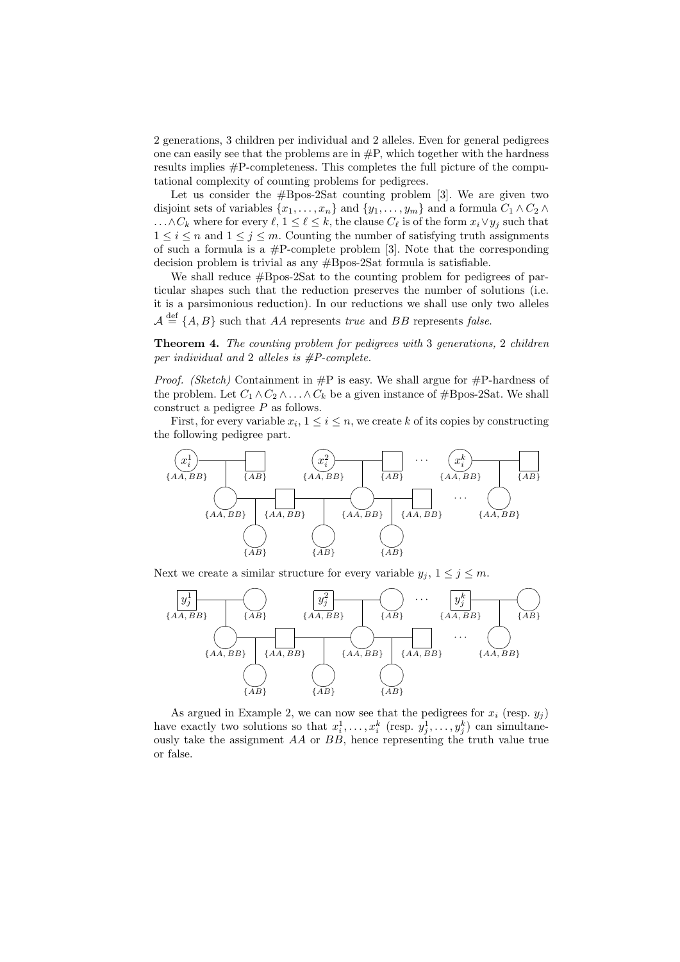2 generations, 3 children per individual and 2 alleles. Even for general pedigrees one can easily see that the problems are in  $\#P$ , which together with the hardness results implies #P-completeness. This completes the full picture of the computational complexity of counting problems for pedigrees.

Let us consider the  $#Bpos-2Sat$  counting problem [3]. We are given two disjoint sets of variables  $\{x_1, \ldots, x_n\}$  and  $\{y_1, \ldots, y_m\}$  and a formula  $C_1 \wedge C_2 \wedge C_1$ ...∧ $C_k$  where for every  $\ell, 1 \leq \ell \leq k$ , the clause  $C_{\ell}$  is of the form  $x_i \vee y_j$  such that  $1 \leq i \leq n$  and  $1 \leq j \leq m$ . Counting the number of satisfying truth assignments of such a formula is a  $\#P$ -complete problem [3]. Note that the corresponding decision problem is trivial as any #Bpos-2Sat formula is satisfiable.

We shall reduce #Bpos-2Sat to the counting problem for pedigrees of particular shapes such that the reduction preserves the number of solutions (i.e. it is a parsimonious reduction). In our reductions we shall use only two alleles  $\mathcal{A} \stackrel{\text{def}}{=} \{A, B\}$  such that AA represents true and BB represents false.

Theorem 4. The counting problem for pedigrees with 3 generations, 2 children per individual and 2 alleles is #P-complete.

*Proof.* (Sketch) Containment in  $\#P$  is easy. We shall argue for  $\#P$ -hardness of the problem. Let  $C_1 \wedge C_2 \wedge \ldots \wedge C_k$  be a given instance of #Bpos-2Sat. We shall construct a pedigree  $P$  as follows.

First, for every variable  $x_i, 1 \leq i \leq n$ , we create k of its copies by constructing the following pedigree part.



Next we create a similar structure for every variable  $y_i, 1 \leq i \leq m$ .



As argued in Example 2, we can now see that the pedigrees for  $x_i$  (resp.  $y_i$ ) have exactly two solutions so that  $x_i^1, \ldots, x_i^k$  (resp.  $y_j^1, \ldots, y_j^k$ ) can simultaneously take the assignment AA or BB, hence representing the truth value true or false.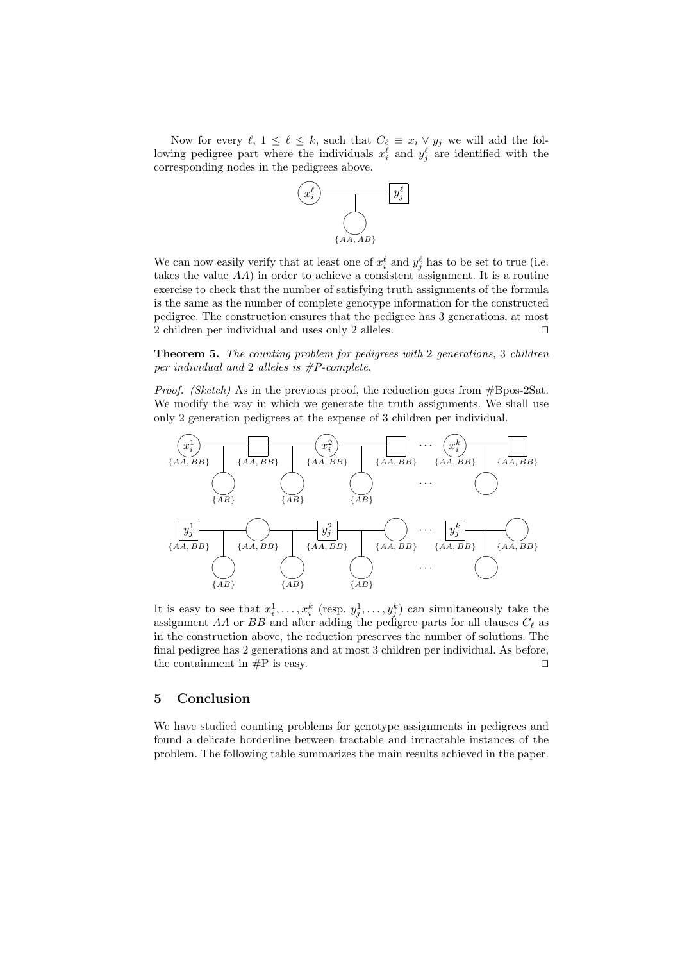Now for every  $\ell, 1 \leq \ell \leq k$ , such that  $C_{\ell} \equiv x_i \vee y_j$  we will add the following pedigree part where the individuals  $x_i^{\ell}$  and  $y_j^{\ell}$  are identified with the corresponding nodes in the pedigrees above.



We can now easily verify that at least one of  $x_i^{\ell}$  and  $y_j^{\ell}$  has to be set to true (i.e. takes the value AA) in order to achieve a consistent assignment. It is a routine exercise to check that the number of satisfying truth assignments of the formula is the same as the number of complete genotype information for the constructed pedigree. The construction ensures that the pedigree has 3 generations, at most 2 children per individual and uses only 2 alleles.  $\Box$ 

Theorem 5. The counting problem for pedigrees with 2 generations, 3 children per individual and 2 alleles is  $#P$ -complete.

Proof. (Sketch) As in the previous proof, the reduction goes from #Bpos-2Sat. We modify the way in which we generate the truth assignments. We shall use only 2 generation pedigrees at the expense of 3 children per individual.



It is easy to see that  $x_i^1, \ldots, x_i^k$  (resp.  $y_j^1, \ldots, y_j^k$ ) can simultaneously take the assignment AA or BB and after adding the pedigree parts for all clauses  $C_{\ell}$  as in the construction above, the reduction preserves the number of solutions. The final pedigree has 2 generations and at most 3 children per individual. As before, the containment in  $\#P$  is easy.

# 5 Conclusion

We have studied counting problems for genotype assignments in pedigrees and found a delicate borderline between tractable and intractable instances of the problem. The following table summarizes the main results achieved in the paper.